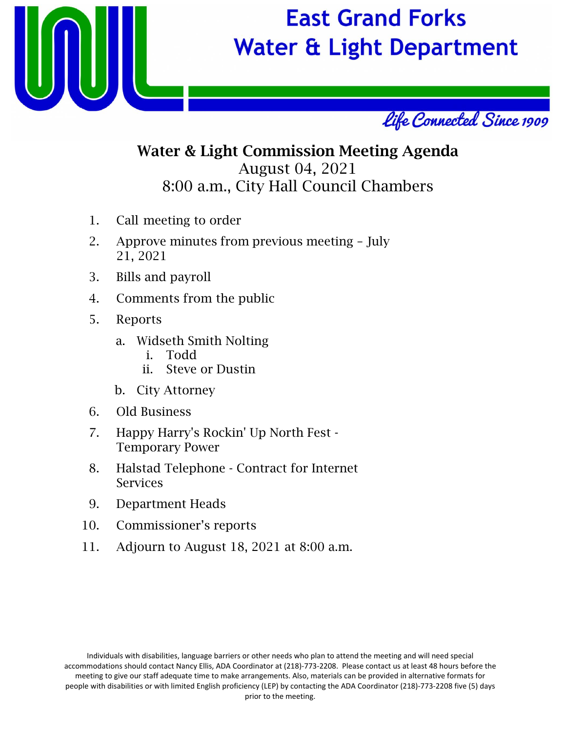

## **East Grand Forks Water & Light Department**



## Water & Light Commission Meeting Agenda August 04, 2021 8:00 a.m., City Hall Council Chambers

- 1. Call meeting to order
- 2. Approve minutes from previous meeting July 21, 2021
- 3. Bills and payroll
- 4. Comments from the public
- 5. Reports
	- a. Widseth Smith Nolting
		- i. Todd
		- ii. Steve or Dustin
	- b. City Attorney
- 6. Old Business
- 7. Happy Harry's Rockin' Up North Fest Temporary Power
- 8. Halstad Telephone Contract for Internet Services
- 9. Department Heads
- 10. Commissioner's reports
- 11. Adjourn to August 18, 2021 at 8:00 a.m.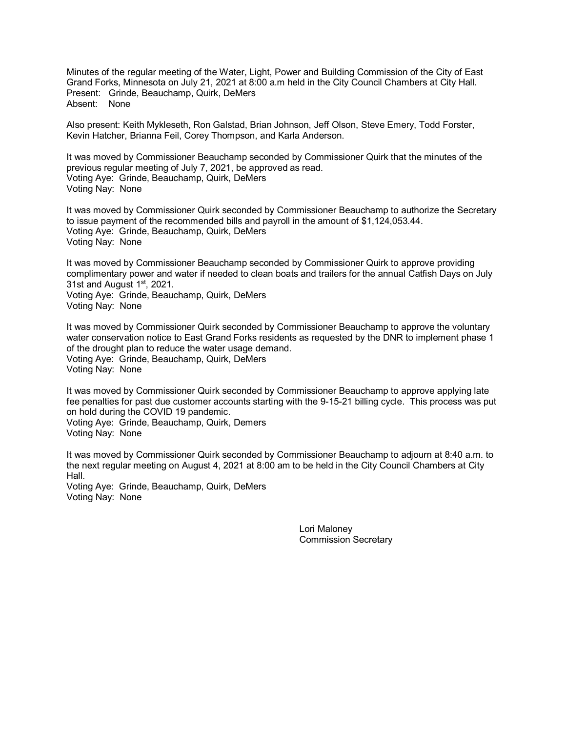Minutes of the regular meeting of the Water, Light, Power and Building Commission of the City of East Grand Forks, Minnesota on July 21, 2021 at 8:00 a.m held in the City Council Chambers at City Hall. Present: Grinde, Beauchamp, Quirk, DeMers Absent: None

Also present: Keith Mykleseth, Ron Galstad, Brian Johnson, Jeff Olson, Steve Emery, Todd Forster, Kevin Hatcher, Brianna Feil, Corey Thompson, and Karla Anderson.

It was moved by Commissioner Beauchamp seconded by Commissioner Quirk that the minutes of the previous regular meeting of July 7, 2021, be approved as read. Voting Aye: Grinde, Beauchamp, Quirk, DeMers Voting Nay: None

It was moved by Commissioner Quirk seconded by Commissioner Beauchamp to authorize the Secretary to issue payment of the recommended bills and payroll in the amount of \$1,124,053.44. Voting Aye: Grinde, Beauchamp, Quirk, DeMers Voting Nay: None

It was moved by Commissioner Beauchamp seconded by Commissioner Quirk to approve providing complimentary power and water if needed to clean boats and trailers for the annual Catfish Days on July 31st and August 1<sup>st</sup>, 2021.

Voting Aye: Grinde, Beauchamp, Quirk, DeMers Voting Nay: None

It was moved by Commissioner Quirk seconded by Commissioner Beauchamp to approve the voluntary water conservation notice to East Grand Forks residents as requested by the DNR to implement phase 1 of the drought plan to reduce the water usage demand. Voting Aye: Grinde, Beauchamp, Quirk, DeMers Voting Nay: None

It was moved by Commissioner Quirk seconded by Commissioner Beauchamp to approve applying late fee penalties for past due customer accounts starting with the 9-15-21 billing cycle. This process was put on hold during the COVID 19 pandemic. Voting Aye: Grinde, Beauchamp, Quirk, Demers Voting Nay: None

It was moved by Commissioner Quirk seconded by Commissioner Beauchamp to adjourn at 8:40 a.m. to the next regular meeting on August 4, 2021 at 8:00 am to be held in the City Council Chambers at City Hall.

Voting Aye: Grinde, Beauchamp, Quirk, DeMers Voting Nay: None

> Lori Maloney Commission Secretary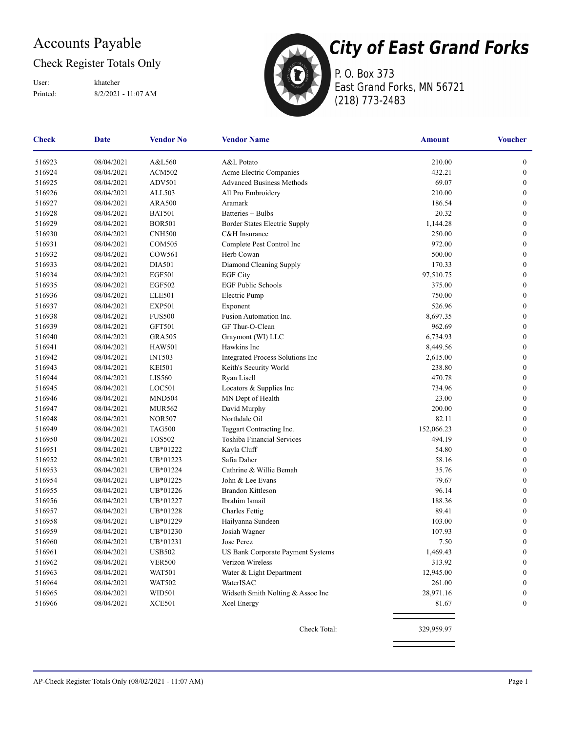## Accounts Payable

## Check Register Totals Only

Printed: 8/2/2021 - 11:07 AM User: khatcher



P. O. Box 373 East Grand Forks, MN 56721 (218) 773-2483

| <b>Check</b> | <b>Date</b> | <b>Vendor No</b>                      | <b>Vendor Name</b>                | <b>Amount</b> | <b>Voucher</b>   |
|--------------|-------------|---------------------------------------|-----------------------------------|---------------|------------------|
| 516923       | 08/04/2021  | A&L560                                | A&L Potato                        | 210.00        | $\boldsymbol{0}$ |
| 516924       | 08/04/2021  | <b>ACM502</b>                         | Acme Electric Companies           | 432.21        | $\boldsymbol{0}$ |
| 516925       | 08/04/2021  | ADV501                                | <b>Advanced Business Methods</b>  | 69.07         | $\boldsymbol{0}$ |
| 516926       | 08/04/2021  | ALL503                                | All Pro Embroidery                | 210.00        | $\boldsymbol{0}$ |
| 516927       | 08/04/2021  | <b>ARA500</b>                         | Aramark                           | 186.54        | $\mathbf{0}$     |
| 516928       | 08/04/2021  | <b>BAT501</b>                         | Batteries + Bulbs                 | 20.32         | $\boldsymbol{0}$ |
| 516929       | 08/04/2021  | <b>BOR501</b>                         | Border States Electric Supply     | 1,144.28      | $\boldsymbol{0}$ |
| 516930       | 08/04/2021  | <b>CNH500</b>                         | C&H Insurance                     | 250.00        | $\boldsymbol{0}$ |
| 516931       | 08/04/2021  | <b>COM505</b>                         | Complete Pest Control Inc         | 972.00        | $\boldsymbol{0}$ |
| 516932       | 08/04/2021  | COW561                                | Herb Cowan                        | 500.00        | $\mathbf{0}$     |
| 516933       | 08/04/2021  | <b>DIA501</b>                         | Diamond Cleaning Supply           | 170.33        | $\mathbf{0}$     |
| 516934       | 08/04/2021  | <b>EGF501</b>                         | <b>EGF City</b>                   | 97,510.75     | $\mathbf{0}$     |
| 516935       | 08/04/2021  | <b>EGF502</b>                         | <b>EGF Public Schools</b>         | 375.00        | $\boldsymbol{0}$ |
| 516936       | 08/04/2021  | <b>ELE501</b>                         | Electric Pump                     | 750.00        | $\boldsymbol{0}$ |
| 516937       | 08/04/2021  | <b>EXP501</b>                         | Exponent                          | 526.96        | $\boldsymbol{0}$ |
| 516938       | 08/04/2021  | <b>FUS500</b>                         | Fusion Automation Inc.            | 8,697.35      | $\boldsymbol{0}$ |
| 516939       | 08/04/2021  | <b>GFT501</b>                         | GF Thur-O-Clean                   | 962.69        | $\mathbf{0}$     |
| 516940       | 08/04/2021  | <b>GRA505</b>                         | Graymont (WI) LLC                 | 6,734.93      | $\mathbf{0}$     |
| 516941       | 08/04/2021  | <b>HAW501</b>                         | Hawkins Inc                       | 8,449.56      | $\boldsymbol{0}$ |
| 516942       | 08/04/2021  | <b>INT503</b>                         | Integrated Process Solutions Inc  | 2,615.00      | $\mathbf{0}$     |
| 516943       | 08/04/2021  | <b>KEI501</b>                         | Keith's Security World            | 238.80        | $\boldsymbol{0}$ |
| 516944       | 08/04/2021  | <b>LIS560</b>                         | Ryan Lisell                       | 470.78        | $\boldsymbol{0}$ |
| 516945       | 08/04/2021  | LOC501                                | Locators & Supplies Inc           | 734.96        | $\boldsymbol{0}$ |
| 516946       | 08/04/2021  | MND504                                | MN Dept of Health                 | 23.00         | $\mathbf{0}$     |
| 516947       | 08/04/2021  | <b>MUR562</b>                         | David Murphy                      | 200.00        | $\mathbf{0}$     |
| 516948       | 08/04/2021  | <b>NOR507</b>                         | Northdale Oil                     | 82.11         | $\boldsymbol{0}$ |
| 516949       | 08/04/2021  | <b>TAG500</b>                         | Taggart Contracting Inc.          | 152,066.23    | $\boldsymbol{0}$ |
| 516950       | 08/04/2021  | <b>TOS502</b>                         | Toshiba Financial Services        | 494.19        | $\boldsymbol{0}$ |
| 516951       | 08/04/2021  | UB*01222                              | Kayla Cluff                       | 54.80         | $\boldsymbol{0}$ |
| 516952       | 08/04/2021  | UB*01223                              | Safia Daher                       | 58.16         | $\mathbf{0}$     |
| 516953       | 08/04/2021  | UB*01224                              | Cathrine & Willie Bemah           | 35.76         | $\mathbf{0}$     |
| 516954       | 08/04/2021  | UB*01225                              | John & Lee Evans                  | 79.67         | $\mathbf{0}$     |
| 516955       | 08/04/2021  | UB*01226                              | <b>Brandon Kittleson</b>          | 96.14         | $\boldsymbol{0}$ |
| 516956       | 08/04/2021  | UB*01227                              | Ibrahim Ismail                    | 188.36        | $\boldsymbol{0}$ |
| 516957       | 08/04/2021  | UB*01228                              | <b>Charles Fettig</b>             | 89.41         | $\boldsymbol{0}$ |
| 516958       | 08/04/2021  | UB*01229                              | Hailyanna Sundeen                 | 103.00        | $\boldsymbol{0}$ |
| 516959       | 08/04/2021  | UB*01230                              | Josiah Wagner                     | 107.93        | $\boldsymbol{0}$ |
| 516960       | 08/04/2021  | UB*01231                              | Jose Perez                        | 7.50          | $\boldsymbol{0}$ |
| 516961       | 08/04/2021  | $\ensuremath{\mathsf{USB502}}\xspace$ | US Bank Corporate Payment Systems | 1,469.43      | $\boldsymbol{0}$ |
| 516962       | 08/04/2021  | <b>VER500</b>                         | Verizon Wireless                  | 313.92        | $\boldsymbol{0}$ |
| 516963       | 08/04/2021  | <b>WAT501</b>                         | Water & Light Department          | 12,945.00     | $\boldsymbol{0}$ |
| 516964       | 08/04/2021  | <b>WAT502</b>                         | WaterISAC                         | 261.00        | $\bf{0}$         |
| 516965       | 08/04/2021  | WID501                                | Widseth Smith Nolting & Assoc Inc | 28,971.16     | 0                |
| 516966       | 08/04/2021  | <b>XCE501</b>                         | Xcel Energy                       | 81.67         | 0                |
|              |             |                                       | Check Total:                      | 329,959.97    |                  |
|              |             |                                       |                                   |               |                  |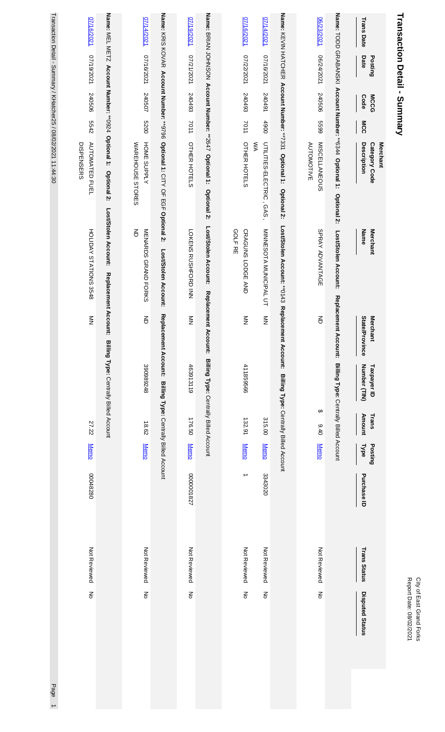| Transaction Detail - Summary                                                                                          |                                                                                         |                                   |                                                       |                        |             |                     |                        |  |
|-----------------------------------------------------------------------------------------------------------------------|-----------------------------------------------------------------------------------------|-----------------------------------|-------------------------------------------------------|------------------------|-------------|---------------------|------------------------|--|
| <b>Trans Date</b><br>Date<br>Posting<br>Code<br><b>MCCG</b><br>MCC<br>Description<br><b>Merchant</b><br>Category Code | <b>Merchant</b><br>Name                                                                 | State/Province<br><b>Merchant</b> | Number (TIN)<br>Taxpayer ID<br><b>Amount</b><br>Trans | Posting<br><b>Type</b> | Purchase ID | <b>Trans Status</b> | <b>Disputed Status</b> |  |
| Name: TODD GRABANSKI Account Number: **6344 Optional 1: Optional 2:                                                   | Lost/Stolen Account:                                                                    | Replacement                       | Account: Billing Type: Centrally Billed Account       |                        |             |                     |                        |  |
| 06/23/2021<br>06/24/2021<br>240506<br>6699<br><b>MISCELLANEOUS</b><br><b>AUTOMOTIVE</b>                               | SPRAY ADVANTAGE                                                                         | 증                                 | ↔<br>0.40                                             | <b>Memo</b>            |             | Not Reviewed        | š                      |  |
| Name: KEVIN HATCHER Account Number: **7331 Optional 1:<br>Optional 2:                                                 | Lost/Stolen Account: **0143 Replacement Account: Billing Type: Centrally Billed Account |                                   |                                                       |                        |             |                     |                        |  |
| 07/14/2021<br>07/16/2021<br>167042<br>4900<br>UTILITIES-ELECTRIC, GAS,<br>ŠХ                                          | MINNESOTA MUNICIPAL UT                                                                  | $\frac{8}{2}$                     | 315.00                                                | <b>Memo</b>            | 3343020     | Not Reviewed        | $\frac{2}{\sigma}$     |  |
| 07/16/2021<br>07/22/2021<br>240493<br>7011<br>OTHER HOTELS                                                            | <b>GOLF RE</b><br>CRAGUNS LODGE AND                                                     | $\frac{2}{2}$<br>411859566        | 132.91                                                | <b>Memo</b>            | ∸           | Not Reviewed        | ξ                      |  |
| Name: BRIAN JOHNSON Account Number: **2647 Optional 1:<br>Optional 2:                                                 | Lost/Stolen Account:                                                                    | Replacement Account:              | Billing Type: Centrally Billed Account                |                        |             |                     |                        |  |
| 1/19/2021<br>120212120<br>240493<br>7011<br>OTHER HOTELS                                                              | LOKENS RUSHFORD INN                                                                     | $\sum_{i=1}^{n}$<br>463913119     | 176.50                                                | <b>Memo</b>            | 281000000   | Not Reviewed        | $\overline{5}$         |  |
| Name: KNOXOK Account Mumber: *** 9796 Optional 1: CLIY OF EGE Optional 2:                                             | Lost/Stolen Account:                                                                    | Replacement Account:              | Billing Type: Centrally Billed Account                |                        |             |                     |                        |  |
| 17/14/2021<br>17/16/2021<br>240507<br>0079<br>HOME SUPPLY<br>WAREHOUSE STORES                                         | 증<br>NENARDS GRAND FORKS                                                                | 증<br>390989248                    | 18.62                                                 | <b>Memo</b>            |             | Not Reviewed        | $\overline{5}$         |  |
| Name: MEL METZ Account Number: **0924 Optional 1: Optional 2:                                                         | Lost/Stolen Account:<br>Replacement Account:                                            |                                   | Billing Type: Centrally Billed Account                |                        |             |                     |                        |  |
| 07/16/2021<br>1202/81/2021<br>240506<br>5542<br><b>AUTOMATED FUEL</b><br>DISPENSERS                                   | HOLIDAY STATIONS 3548                                                                   | $\sum_{i=1}^{n}$                  | 27.22                                                 | <b>Memo</b>            | 00048280    | Not Reviewed        | ξ                      |  |
| Transaction Detail - Summucher25 / 08/02/2021 11:44:30                                                                |                                                                                         |                                   |                                                       |                        |             |                     | Page                   |  |

 $\frac{1}{1}$ 

City of East Grand Forks<br>Report Date: 08/02/2021 Report Date: 08/02/2021 City of East Grand Forks

# ř, J í, ņ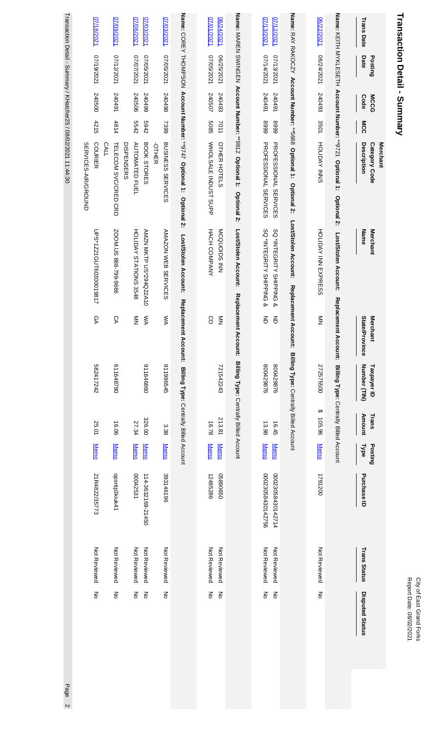| Transaction Detail - Summary                                                                                                                               |                                                         |                                   |                                        |                        |                            |                                        |                              |                                     |                      |
|------------------------------------------------------------------------------------------------------------------------------------------------------------|---------------------------------------------------------|-----------------------------------|----------------------------------------|------------------------|----------------------------|----------------------------------------|------------------------------|-------------------------------------|----------------------|
| <b>Trans Date</b><br>Date<br>Posting<br><b>MCCG</b><br><b>Code</b><br>MCC<br><b>Description</b><br><b>Merchant</b><br>Category Code                        | Name<br><b>Merchant</b>                                 | State/Province<br><b>Merchant</b> | Number (TIN)<br>Taxpayer ID            | <b>Amount</b><br>Trans | Posting<br>Type            | Purchase ID                            | <b>Trans Status</b>          | <b>Disputed Status</b>              |                      |
| Name: KEITH MYKLESETH Account Number: **9721 Optional 1: Optional 2:                                                                                       | Lost/Stolen Account:                                    | Replacement<br><b>Account:</b>    | Billing Type: Centrally Billed Account |                        |                            |                                        |                              |                                     |                      |
| 06/22/2021<br>12024/2021<br>240493<br>3501<br>HOLIDAY NNS                                                                                                  | HOLDAY INN EXPRESS                                      | $\frac{2}{2}$                     | 272575500<br>↮                         | 105.96                 | <b>Memo</b>                | 1791200                                | Not Reviewed                 | ξ                                   |                      |
| Name: RAY RAKOCZY Account Number: **5668 Optional 1: Optional 2:                                                                                           | Lost/Stolen Account:                                    | Replacement Account:              | Billing Type: Centrally Billed Account |                        |                            |                                        |                              |                                     |                      |
| 07/13/2021<br>07/12/2021<br>1202/14/2021<br>17/13/2021<br>16+045<br>240491<br>6668<br>6668<br><b>PROFESSIONAL SERVICES</b><br><b>PROFESSIONAL SERVICES</b> | SQ *INTEGRITY SHIPPING &<br>SQ *INTEGRITY SHIPPING<br>ହ | 증<br>증                            | 800429876<br>800429876                 | 16.45<br>13.98         | <b>Memo</b><br><b>Memo</b> | 00023058430142756<br>00023058430142714 | Not Reviewed<br>Not Reviewed | $\mathop{\mathsf{S}}\nolimits$<br>종 |                      |
| Name: MAREN SWINGEN Account Number: **9812 Optional 1: Optional 2:                                                                                         | Lost/Stolen Account:                                    | Replacement Account:              | Billing Type: Centrally Billed Account |                        |                            |                                        |                              |                                     |                      |
| 07/01/2021<br>06/24/2021<br>1202/59/20<br>06/25/2021<br>240507<br>240493<br>5085<br>7011<br>WHOLSALE INDUST SUPP<br>OTHER HOTELS                           | HACH COMPANY<br>MCQUOLDS INN                            | $\sum_{i=1}^{n}$<br>8             | 721542243                              | 213.81<br>16.78        | <b>Memo</b><br><b>Memo</b> | 12485286<br>05890650                   | Not Reviewed<br>Not Reviewed | $\mathop{\mathsf{S}}\nolimits$<br>ξ |                      |
| Name: COREY THOMPSON Account Number: **9747 Optional 1: Optional 2:                                                                                        | Lost/Stolen Account:                                    | <b>Replacement</b><br>Account:    | Billing Type: Centrally Billed Account |                        |                            |                                        |                              |                                     |                      |
| 07/03/2021<br>1202/99/2021<br>240498<br>2399<br><b>BUSINESS SERVICES</b><br><b>OTHER</b>                                                                   | AMAZON WEB SERVICES                                     | ŠХ                                | 911986545                              | 338                    | <b>Memo</b>                | 393146196                              | Not Reviewed                 | ξ                                   |                      |
| 07/03/2021<br>07/06/2021<br>1202/2021<br>1202/2021<br>240506<br>66+0+2<br>5542<br>2769<br>BOOK STORES<br>DISPENSERS<br><b>AUTOMATED FUEL</b>               | HOLIDAY STATIONS 3548<br><b>AMZN MKTP US*294Q22A10</b>  | ŠХ<br>$\frac{z}{z}$               | 0989999116                             | 326.00<br>27.34        | <b>Memo</b><br><b>Memo</b> | 00042531<br>114-3632169-21450          | Not Reviewed<br>Not Reviewed | ξ<br>$\mathsf{S}$                   |                      |
| 07/09/2021<br>17/12/2021<br>16+042<br>4814<br><b>CALL</b><br>TELECOM SVC/CRED CRD                                                                          | ZOOM.US 888-799-9666                                    | СA                                | 611648780                              | 16.06                  | <b>Memo</b>                | opsntp3kiuk41                          | Not Reviewed                 | ξ                                   |                      |
| 07/18/2021<br>17/19/2021<br>240500<br>4215<br><b>COURIER</b><br>SERVICES-AIR/GROUND                                                                        | UPS*1Z21GUT60300019817                                  | ତ୍ୟ                               | 282417242                              | 25.01                  | <b>Memo</b>                | 21R4822/35773                          | Not Reviewed                 | š                                   |                      |
| Transaction Detail - Summary / KHatcher25 / 08/02/2021 11:44:30                                                                                            |                                                         |                                   |                                        |                        |                            |                                        |                              |                                     | Page<br>$\mathbf{v}$ |

ו ומופמרותו הבוסון .<br>יוסו - סמוווווומו / י או ופור  $\overline{\phantom{a}}$ **DOUGLICE I INTIAL** 

Page 2

City of East Grand Forks<br>Report Date: 08/02/2021 Report Date: 08/02/2021 City of East Grand Forks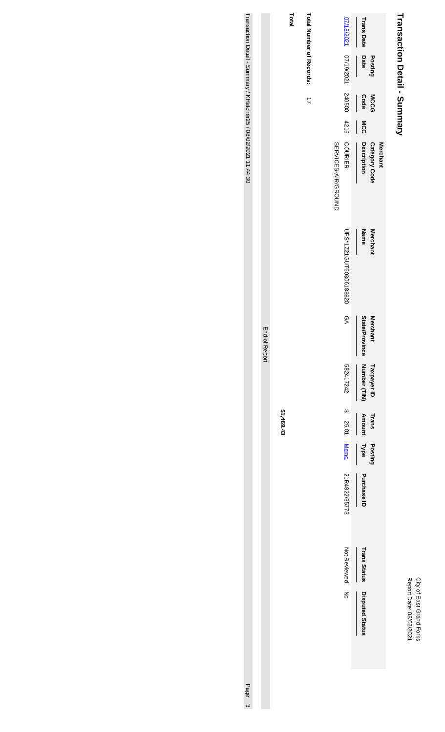# City of East Grand Forks<br>Report Date: 08/02/2021 Report Date: 08/02/2021 City of East Grand Forks

# Transaction Detail - Summary **Transaction Detail - Summary**

|                                           | <b>Trans Date</b>                                  |
|-------------------------------------------|----------------------------------------------------|
| 07/18/2021 07/19/2021 240500 4215 COURIER | Date<br><b>Posting</b><br>$\overline{\phantom{a}}$ |
|                                           | Code<br><b>MCCG</b>                                |
|                                           | <b>MCC</b>                                         |
| <b>SERVICES-AIR/GROUND</b>                | Description<br>Category Cod<br><b>Merchant</b>     |
| UPS*1Z21GUT60306188820                    | Name<br><b>Merchan</b>                             |
| P<br>D                                    | <b>State/Province</b><br><b>Merchant</b>           |
|                                           | Number (TIN)<br>Taxpayer ID Trans                  |
|                                           | Amount                                             |
|                                           | Posting                                            |
|                                           | Type Purchase ID                                   |
| Not Reviewed<br>Not Reviewed              |                                                    |
|                                           | <b>Trans Status Disputed Status</b>                |
|                                           |                                                    |

Total Number of Records:

**Total**

**Total Number of Records:** 

17

**\$1,469.43**

End of Report

End of Report

Transaction Detail - Summary / KHatcher25 / 08/02/2021 11:44:30

Transaction Detail - Summary / KHatcher25 / 08/02/2021 11:44:30 Page 3Page 3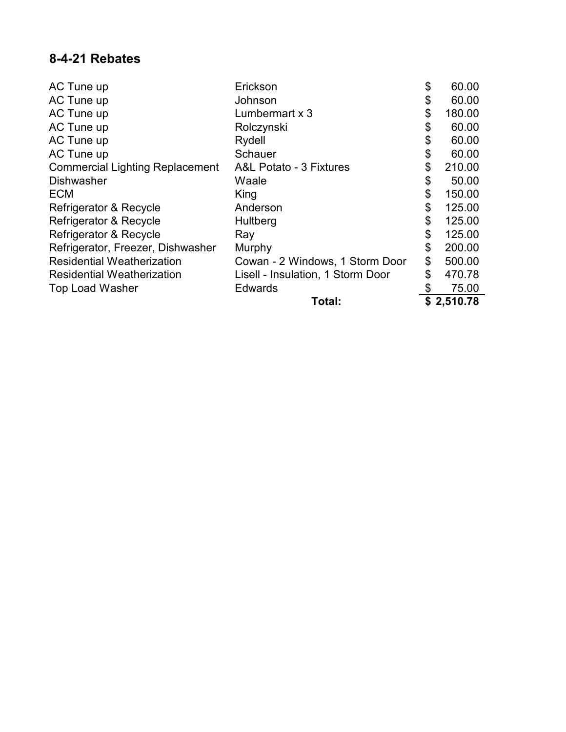## **8-4-21 Rebates**

| AC Tune up                             | Erickson                           | \$<br>60.00  |
|----------------------------------------|------------------------------------|--------------|
| AC Tune up                             | Johnson                            | \$<br>60.00  |
| AC Tune up                             | Lumbermart x 3                     | \$<br>180.00 |
| AC Tune up                             | Rolczynski                         | \$<br>60.00  |
| AC Tune up                             | Rydell                             | \$<br>60.00  |
| AC Tune up                             | Schauer                            | \$<br>60.00  |
| <b>Commercial Lighting Replacement</b> | <b>A&amp;L Potato - 3 Fixtures</b> | \$<br>210.00 |
| <b>Dishwasher</b>                      | Waale                              | \$<br>50.00  |
| <b>ECM</b>                             | King                               | \$<br>150.00 |
| Refrigerator & Recycle                 | Anderson                           | \$<br>125.00 |
| Refrigerator & Recycle                 | Hultberg                           | \$<br>125.00 |
| Refrigerator & Recycle                 | Ray                                | \$<br>125.00 |
| Refrigerator, Freezer, Dishwasher      | Murphy                             | \$<br>200.00 |
| <b>Residential Weatherization</b>      | Cowan - 2 Windows, 1 Storm Door    | \$<br>500.00 |
| <b>Residential Weatherization</b>      | Lisell - Insulation, 1 Storm Door  | \$<br>470.78 |
| <b>Top Load Washer</b>                 | <b>Edwards</b>                     | 75.00        |
|                                        | Total:                             | \$2,510.78   |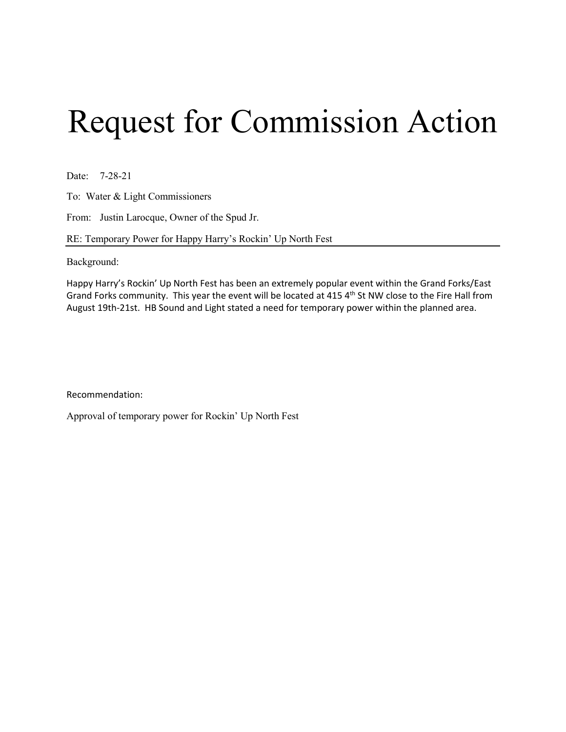# Request for Commission Action

Date: 7-28-21

To: Water & Light Commissioners

From: Justin Larocque, Owner of the Spud Jr.

RE: Temporary Power for Happy Harry's Rockin' Up North Fest

Background:

Happy Harry's Rockin' Up North Fest has been an extremely popular event within the Grand Forks/East Grand Forks community. This year the event will be located at 415 4<sup>th</sup> St NW close to the Fire Hall from August 19th-21st. HB Sound and Light stated a need for temporary power within the planned area.

Recommendation:

Approval of temporary power for Rockin' Up North Fest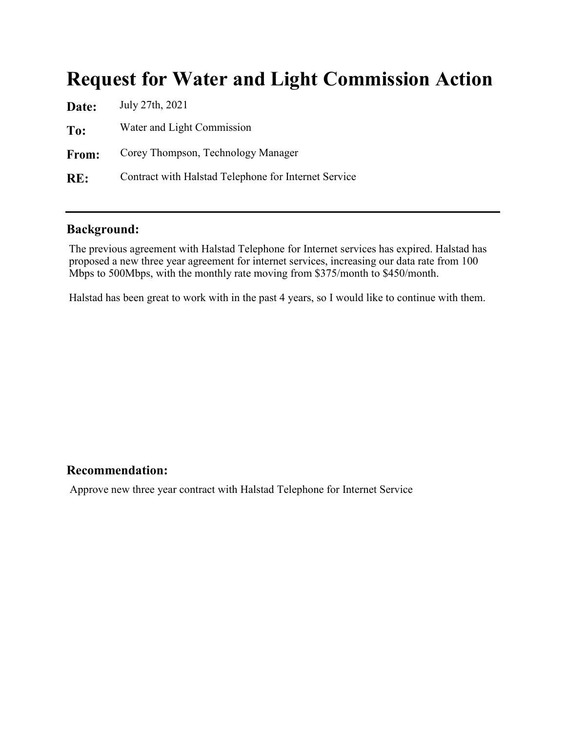## **Request for Water and Light Commission Action**

| Date: | July 27th, 2021                                      |
|-------|------------------------------------------------------|
| To:   | Water and Light Commission                           |
| From: | Corey Thompson, Technology Manager                   |
| RE:   | Contract with Halstad Telephone for Internet Service |

## **Background:**

The previous agreement with Halstad Telephone for Internet services has expired. Halstad has proposed a new three year agreement for internet services, increasing our data rate from 100 Mbps to 500Mbps, with the monthly rate moving from \$375/month to \$450/month.

Halstad has been great to work with in the past 4 years, so I would like to continue with them.

## **Recommendation:**

Approve new three year contract with Halstad Telephone for Internet Service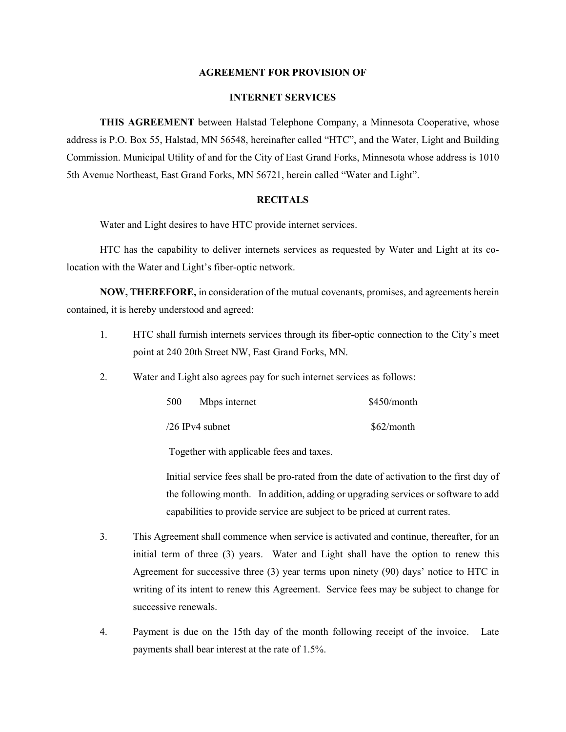#### **AGREEMENT FOR PROVISION OF**

### **INTERNET SERVICES**

**THIS AGREEMENT** between Halstad Telephone Company, a Minnesota Cooperative, whose address is P.O. Box 55, Halstad, MN 56548, hereinafter called "HTC", and the Water, Light and Building Commission. Municipal Utility of and for the City of East Grand Forks, Minnesota whose address is 1010 5th Avenue Northeast, East Grand Forks, MN 56721, herein called "Water and Light".

#### **RECITALS**

Water and Light desires to have HTC provide internet services.

HTC has the capability to deliver internets services as requested by Water and Light at its colocation with the Water and Light's fiber-optic network.

**NOW, THEREFORE,** in consideration of the mutual covenants, promises, and agreements herein contained, it is hereby understood and agreed:

- 1. HTC shall furnish internets services through its fiber-optic connection to the City's meet point at 240 20th Street NW, East Grand Forks, MN.
- 2. Water and Light also agrees pay for such internet services as follows:

| 500 | Mbps internet   | $$450/m$ onth |
|-----|-----------------|---------------|
|     | /26 IPv4 subnet | \$62/month    |

Together with applicable fees and taxes.

Initial service fees shall be pro-rated from the date of activation to the first day of the following month. In addition, adding or upgrading services or software to add capabilities to provide service are subject to be priced at current rates.

- 3. This Agreement shall commence when service is activated and continue, thereafter, for an initial term of three (3) years. Water and Light shall have the option to renew this Agreement for successive three (3) year terms upon ninety (90) days' notice to HTC in writing of its intent to renew this Agreement. Service fees may be subject to change for successive renewals.
- 4. Payment is due on the 15th day of the month following receipt of the invoice. Late payments shall bear interest at the rate of 1.5%.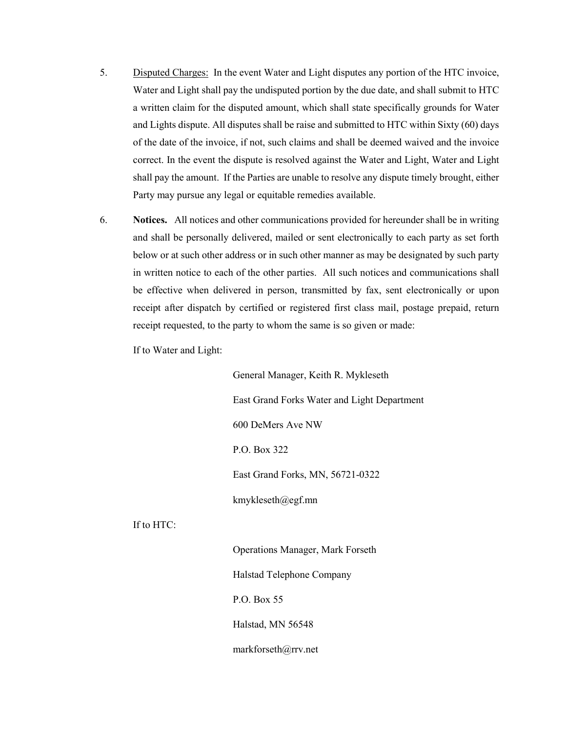- 5. Disputed Charges: In the event Water and Light disputes any portion of the HTC invoice, Water and Light shall pay the undisputed portion by the due date, and shall submit to HTC a written claim for the disputed amount, which shall state specifically grounds for Water and Lights dispute. All disputes shall be raise and submitted to HTC within Sixty (60) days of the date of the invoice, if not, such claims and shall be deemed waived and the invoice correct. In the event the dispute is resolved against the Water and Light, Water and Light shall pay the amount. If the Parties are unable to resolve any dispute timely brought, either Party may pursue any legal or equitable remedies available.
- 6. **Notices.** All notices and other communications provided for hereunder shall be in writing and shall be personally delivered, mailed or sent electronically to each party as set forth below or at such other address or in such other manner as may be designated by such party in written notice to each of the other parties. All such notices and communications shall be effective when delivered in person, transmitted by fax, sent electronically or upon receipt after dispatch by certified or registered first class mail, postage prepaid, return receipt requested, to the party to whom the same is so given or made:

If to Water and Light:

If to HTC:

General Manager, Keith R. Mykleseth East Grand Forks Water and Light Department 600 DeMers Ave NW P.O. Box 322 East Grand Forks, MN, 56721-0322 kmykleseth@egf.mn

Operations Manager, Mark Forseth Halstad Telephone Company P.O. Box 55 Halstad, MN 56548 markforseth@rrv.net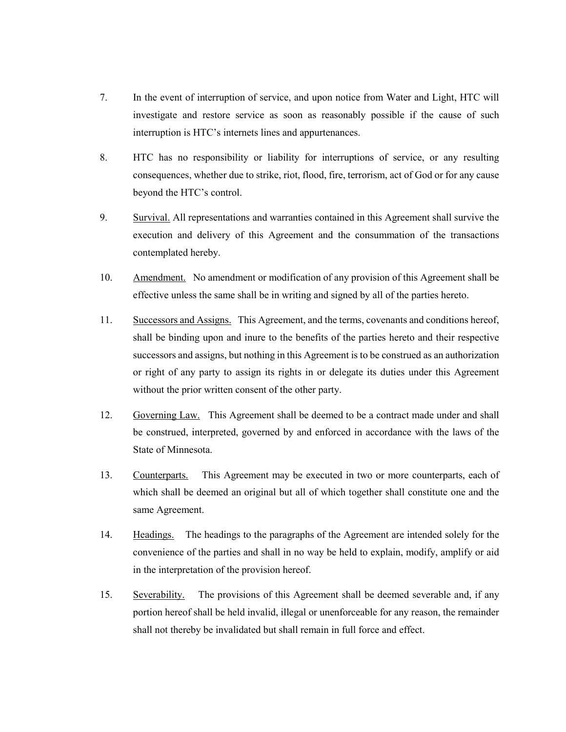- 7. In the event of interruption of service, and upon notice from Water and Light, HTC will investigate and restore service as soon as reasonably possible if the cause of such interruption is HTC's internets lines and appurtenances.
- 8. HTC has no responsibility or liability for interruptions of service, or any resulting consequences, whether due to strike, riot, flood, fire, terrorism, act of God or for any cause beyond the HTC's control.
- 9. Survival. All representations and warranties contained in this Agreement shall survive the execution and delivery of this Agreement and the consummation of the transactions contemplated hereby.
- 10. Amendment. No amendment or modification of any provision of this Agreement shall be effective unless the same shall be in writing and signed by all of the parties hereto.
- 11. Successors and Assigns. This Agreement, and the terms, covenants and conditions hereof, shall be binding upon and inure to the benefits of the parties hereto and their respective successors and assigns, but nothing in this Agreement is to be construed as an authorization or right of any party to assign its rights in or delegate its duties under this Agreement without the prior written consent of the other party.
- 12. Governing Law. This Agreement shall be deemed to be a contract made under and shall be construed, interpreted, governed by and enforced in accordance with the laws of the State of Minnesota.
- 13. Counterparts. This Agreement may be executed in two or more counterparts, each of which shall be deemed an original but all of which together shall constitute one and the same Agreement.
- 14. Headings. The headings to the paragraphs of the Agreement are intended solely for the convenience of the parties and shall in no way be held to explain, modify, amplify or aid in the interpretation of the provision hereof.
- 15. Severability. The provisions of this Agreement shall be deemed severable and, if any portion hereof shall be held invalid, illegal or unenforceable for any reason, the remainder shall not thereby be invalidated but shall remain in full force and effect.